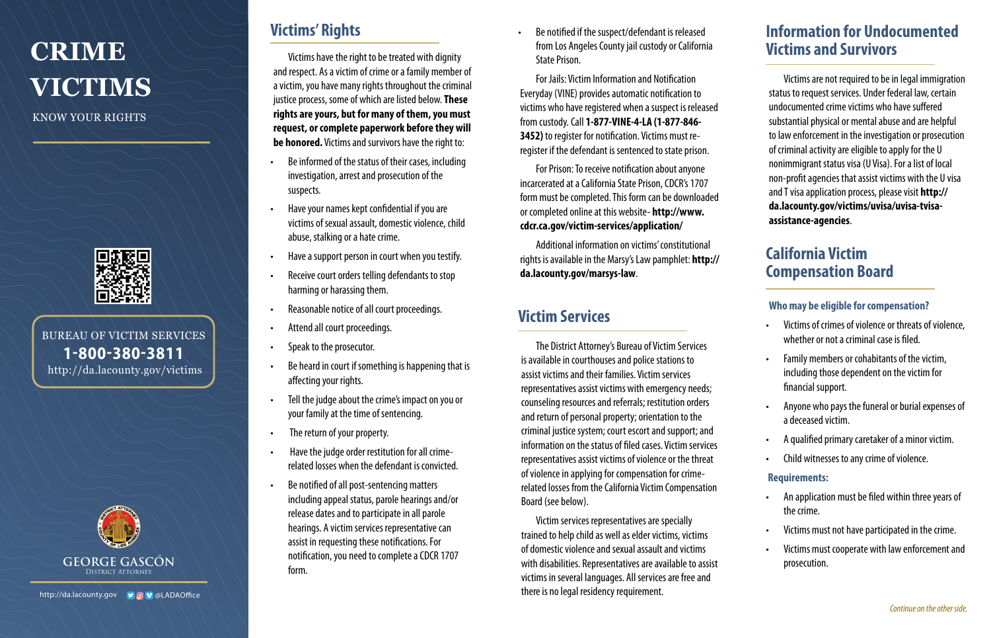# **CRIME VICTIMS**

KNOW YOUR RIGHTS



BUREAU OF VICTIM SERVICES 1-800-380-3811 http://da.lacounty.gov/victims



and respect. As a victim of crime or a family member of a victim, you have many rights throughout the criminal justice process, some of which are listed below. **These rights are yours, but for many of them, you must request, or complete paperwork before they will be honored.** Victims and survivors have the right to:

- Be informed of the status of their cases, including investigation, arrest and prosecution of the suspects.
- Have your names kept confidential if you are victims of sexual assault, domestic violence, child abuse, stalking or a hate crime.
- Have a support person in court when you testify.
- Receive court orders telling defendants to stop harming or harassing them.
- Reasonable notice of all court proceedings.
- Attend all court proceedings.
- Speak to the prosecutor.
- Be heard in court if something is happening that is affecting your rights.
- Tell the judge about the crime's impact on you or your family at the time of sentencing.
- The return of your property.
- Have the judge order restitution for all crimerelated losses when the defendant is convicted.
- Be notified of all post-sentencing matters including appeal status, parole hearings and/or release dates and to participate in all parole hearings. A victim services representative can assist in requesting these notifications. For notification, you need to complete a CDCR 1707 form.

**Victims have the right to be treated with dignity Victims and Survivors Victims' Rights • Be notified if the suspect/defendant is released** from Los Angeles County jail custody or California State Prison.

> For Jails: Victim Information and Notification Everyday (VINE) provides automatic notification to victims who have registered when a suspect is released from custody. Call **1-877-VINE-4-LA (1-877-846- 3452)** to register for notification. Victims must reregister if the defendant is sentenced to state prison.

> For Prison: To receive notification about anyone incarcerated at a California State Prison, CDCR's 1707 form must be completed. This form can be downloaded or completed online at this website- **[http://www.](http://www.cdcr.ca.gov/victim-services/application/ ) [cdcr.ca.gov/victim-services/application/](http://www.cdcr.ca.gov/victim-services/application/ )**

Additional information on victims' constitutional rights is available in the Marsy's Law pamphlet: **[http://](http://da.lacounty.gov/marsys-law) [da.lacounty.gov/marsys-law](http://da.lacounty.gov/marsys-law)**.

# **Victim Services**

The District Attorney's Bureau of Victim Services is available in courthouses and police stations to assist victims and their families. Victim services representatives assist victims with emergency needs; counseling resources and referrals; restitution orders and return of personal property; orientation to the criminal justice system; court escort and support; and information on the status of filed cases. Victim services representatives assist victims of violence or the threat of violence in applying for compensation for crimerelated losses from the California Victim Compensation Board (see below).

Victim services representatives are specially trained to help child as well as elder victims, victims of domestic violence and sexual assault and victims with disabilities. Representatives are available to assist victims in several languages. All services are free and there is no legal residency requirement.

# **Information for Undocumented**

Victims are not required to be in legal immigration status to request services. Under federal law, certain undocumented crime victims who have suffered substantial physical or mental abuse and are helpful to law enforcement in the investigation or prosecution of criminal activity are eligible to apply for the U nonimmigrant status visa (U Visa). For a list of local non-profit agencies that assist victims with the U visa and T visa application process, please visit **[http://](http://da.lacounty.gov/victims/uvisa/uvisa-tvisa-assistance-agencies) [da.lacounty.gov/victims/uvisa/uvisa-tvisa](http://da.lacounty.gov/victims/uvisa/uvisa-tvisa-assistance-agencies)[assistance-agencies](http://da.lacounty.gov/victims/uvisa/uvisa-tvisa-assistance-agencies)**.

## **California Victim Compensation Board**

## **Who may be eligible for compensation?**

- Victims of crimes of violence or threats of violence, whether or not a criminal case is filed.
- Family members or cohabitants of the victim, including those dependent on the victim for financial support.
- Anyone who pays the funeral or burial expenses of a deceased victim.
- A qualified primary caretaker of a minor victim.
- Child witnesses to any crime of violence.

### **Requirements:**

- An application must be filed within three years of the crime.
- Victims must not have participated in the crime.
- Victims must cooperate with law enforcement and prosecution.